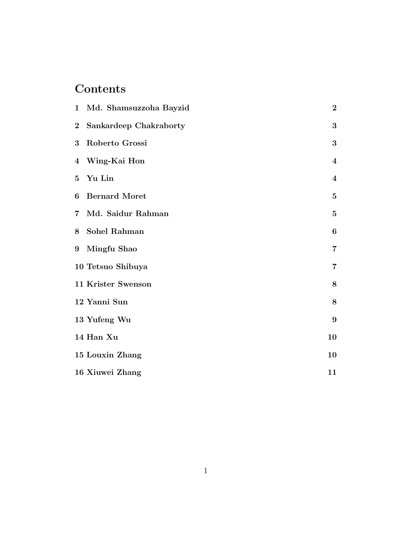# Contents

|                 | 1 Md. Shamsuzzoha Bayzid | $\bf{2}$                |
|-----------------|--------------------------|-------------------------|
| $\overline{2}$  | Sankardeep Chakraborty   | 3                       |
| 3               | Roberto Grossi           | $\boldsymbol{3}$        |
|                 | 4 Wing-Kai Hon           | $\overline{\mathbf{4}}$ |
| $5\overline{)}$ | Yu Lin                   | $\boldsymbol{4}$        |
| 6               | <b>Bernard Moret</b>     | $\mathbf{5}$            |
| $7\phantom{.}$  | Md. Saidur Rahman        | $\mathbf{5}$            |
| 8               | Sohel Rahman             | 6                       |
| 9               | Mingfu Shao              | $\overline{7}$          |
|                 | 10 Tetsuo Shibuya        | $\overline{7}$          |
|                 | 11 Krister Swenson       | 8                       |
|                 | 12 Yanni Sun             | 8                       |
|                 | 13 Yufeng Wu             | $\boldsymbol{9}$        |
|                 | 14 Han Xu                | 10                      |
|                 | 15 Louxin Zhang          | 10                      |
|                 | 16 Xiuwei Zhang          | 11                      |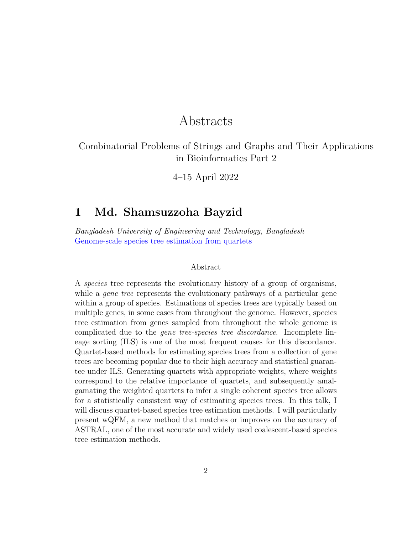# Abstracts

Combinatorial Problems of Strings and Graphs and Their Applications in Bioinformatics Part 2

4–15 April 2022

## 1 Md. Shamsuzzoha Bayzid

Bangladesh University of Engineering and Technology, Bangladesh Genome-scale species tree estimation from quartets

### Abstract

A species tree represents the evolutionary history of a group of organisms, while a *gene tree* represents the evolutionary pathways of a particular gene within a group of species. Estimations of species trees are typically based on multiple genes, in some cases from throughout the genome. However, species tree estimation from genes sampled from throughout the whole genome is complicated due to the gene tree-species tree discordance. Incomplete lineage sorting (ILS) is one of the most frequent causes for this discordance. Quartet-based methods for estimating species trees from a collection of gene trees are becoming popular due to their high accuracy and statistical guarantee under ILS. Generating quartets with appropriate weights, where weights correspond to the relative importance of quartets, and subsequently amalgamating the weighted quartets to infer a single coherent species tree allows for a statistically consistent way of estimating species trees. In this talk, I will discuss quartet-based species tree estimation methods. I will particularly present wQFM, a new method that matches or improves on the accuracy of ASTRAL, one of the most accurate and widely used coalescent-based species tree estimation methods.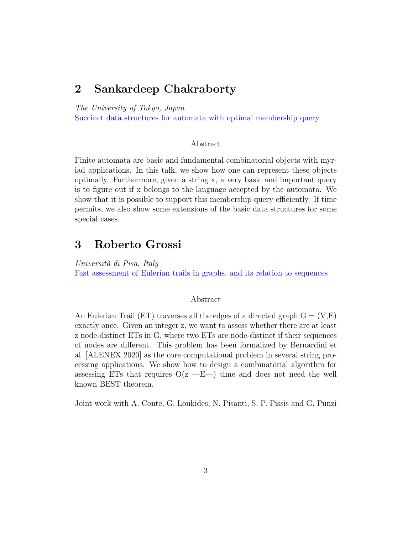# 2 Sankardeep Chakraborty

The University of Tokyo, Japan

Succinct data structures for automata with optimal membership query

### Abstract

Finite automata are basic and fundamental combinatorial objects with myriad applications. In this talk, we show how one can represent these objects optimally. Furthermore, given a string x, a very basic and important query is to figure out if x belongs to the language accepted by the automata. We show that it is possible to support this membership query efficiently. If time permits, we also show some extensions of the basic data structures for some special cases.

### 3 Roberto Grossi

Università di Pisa, Italy Fast assessment of Eulerian trails in graphs, and its relation to sequences

### Abstract

An Eulerian Trail (ET) traverses all the edges of a directed graph  $G = (V, E)$ exactly once. Given an integer z, we want to assess whether there are at least z node-distinct ETs in G, where two ETs are node-distinct if their sequences of nodes are different. This problem has been formalized by Bernardini et al. [ALENEX 2020] as the core computational problem in several string processing applications. We show how to design a combinatorial algorithm for assessing ETs that requires  $O(z - E)$  time and does not need the well known BEST theorem.

Joint work with A. Conte, G. Loukides, N. Pisanti, S. P. Pissis and G. Punzi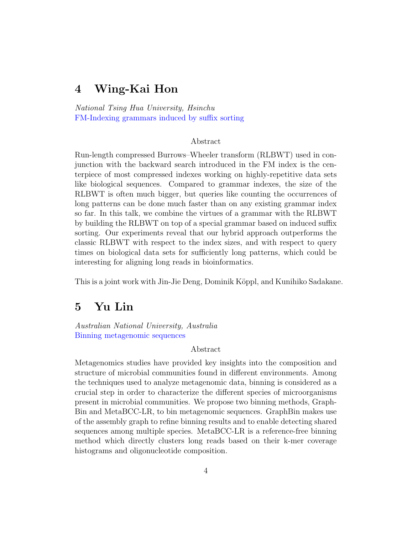# 4 Wing-Kai Hon

National Tsing Hua University, Hsinchu FM-Indexing grammars induced by suffix sorting

### Abstract

Run-length compressed Burrows–Wheeler transform (RLBWT) used in conjunction with the backward search introduced in the FM index is the centerpiece of most compressed indexes working on highly-repetitive data sets like biological sequences. Compared to grammar indexes, the size of the RLBWT is often much bigger, but queries like counting the occurrences of long patterns can be done much faster than on any existing grammar index so far. In this talk, we combine the virtues of a grammar with the RLBWT by building the RLBWT on top of a special grammar based on induced suffix sorting. Our experiments reveal that our hybrid approach outperforms the classic RLBWT with respect to the index sizes, and with respect to query times on biological data sets for sufficiently long patterns, which could be interesting for aligning long reads in bioinformatics.

This is a joint work with Jin-Jie Deng, Dominik Köppl, and Kunihiko Sadakane.

# 5 Yu Lin

Australian National University, Australia Binning metagenomic sequences

### Abstract

Metagenomics studies have provided key insights into the composition and structure of microbial communities found in different environments. Among the techniques used to analyze metagenomic data, binning is considered as a crucial step in order to characterize the different species of microorganisms present in microbial communities. We propose two binning methods, Graph-Bin and MetaBCC-LR, to bin metagenomic sequences. GraphBin makes use of the assembly graph to refine binning results and to enable detecting shared sequences among multiple species. MetaBCC-LR is a reference-free binning method which directly clusters long reads based on their k-mer coverage histograms and oligonucleotide composition.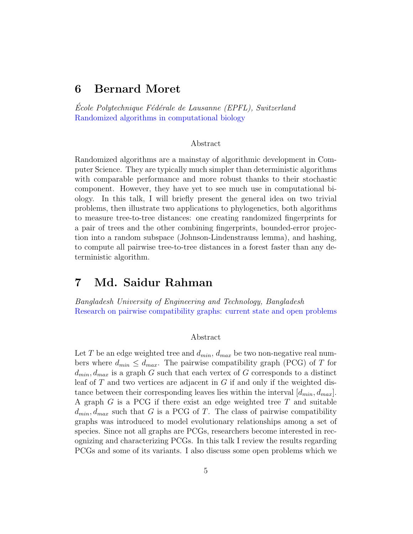## 6 Bernard Moret

Ecole Polytechnique Fédérale de Lausanne (EPFL), Switzerland Randomized algorithms in computational biology

### Abstract

Randomized algorithms are a mainstay of algorithmic development in Computer Science. They are typically much simpler than deterministic algorithms with comparable performance and more robust thanks to their stochastic component. However, they have yet to see much use in computational biology. In this talk, I will briefly present the general idea on two trivial problems, then illustrate two applications to phylogenetics, both algorithms to measure tree-to-tree distances: one creating randomized fingerprints for a pair of trees and the other combining fingerprints, bounded-error projection into a random subspace (Johnson-Lindenstrauss lemma), and hashing, to compute all pairwise tree-to-tree distances in a forest faster than any deterministic algorithm.

## 7 Md. Saidur Rahman

Bangladesh University of Engineering and Technology, Bangladesh Research on pairwise compatibility graphs: current state and open problems

### Abstract

Let T be an edge weighted tree and  $d_{min}$ ,  $d_{max}$  be two non-negative real numbers where  $d_{min} \leq d_{max}$ . The pairwise compatibility graph (PCG) of T for  $d_{min}, d_{max}$  is a graph G such that each vertex of G corresponds to a distinct leaf of  $T$  and two vertices are adjacent in  $G$  if and only if the weighted distance between their corresponding leaves lies within the interval  $[d_{min}, d_{max}]$ . A graph G is a PCG if there exist an edge weighted tree T and suitable  $d_{min}, d_{max}$  such that G is a PCG of T. The class of pairwise compatibility graphs was introduced to model evolutionary relationships among a set of species. Since not all graphs are PCGs, researchers become interested in recognizing and characterizing PCGs. In this talk I review the results regarding PCGs and some of its variants. I also discuss some open problems which we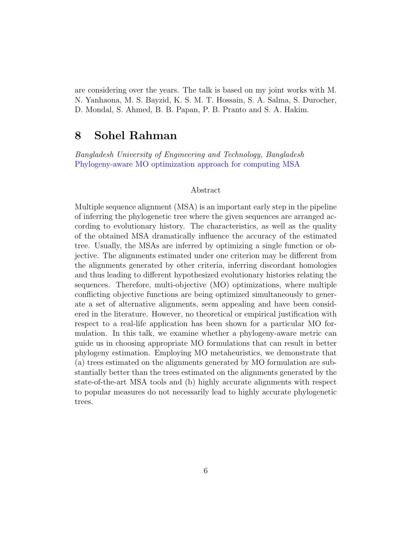are considering over the years. The talk is based on my joint works with M. N. Yanhaona, M. S. Bayzid, K. S. M. T. Hossain, S. A. Salma, S. Durocher, D. Mondal, S. Ahmed, B. B. Papan, P. B. Pranto and S. A. Hakim.

### 8 Sohel Rahman

Bangladesh University of Engineering and Technology, Bangladesh Phylogeny-aware MO optimization approach for computing MSA

### Abstract

Multiple sequence alignment (MSA) is an important early step in the pipeline of inferring the phylogenetic tree where the given sequences are arranged according to evolutionary history. The characteristics, as well as the quality of the obtained MSA dramatically influence the accuracy of the estimated tree. Usually, the MSAs are inferred by optimizing a single function or objective. The alignments estimated under one criterion may be different from the alignments generated by other criteria, inferring discordant homologies and thus leading to different hypothesized evolutionary histories relating the sequences. Therefore, multi-objective (MO) optimizations, where multiple conflicting objective functions are being optimized simultaneously to generate a set of alternative alignments, seem appealing and have been considered in the literature. However, no theoretical or empirical justification with respect to a real-life application has been shown for a particular MO formulation. In this talk, we examine whether a phylogeny-aware metric can guide us in choosing appropriate MO formulations that can result in better phylogeny estimation. Employing MO metaheuristics, we demonstrate that (a) trees estimated on the alignments generated by MO formulation are substantially better than the trees estimated on the alignments generated by the state-of-the-art MSA tools and (b) highly accurate alignments with respect to popular measures do not necessarily lead to highly accurate phylogenetic trees.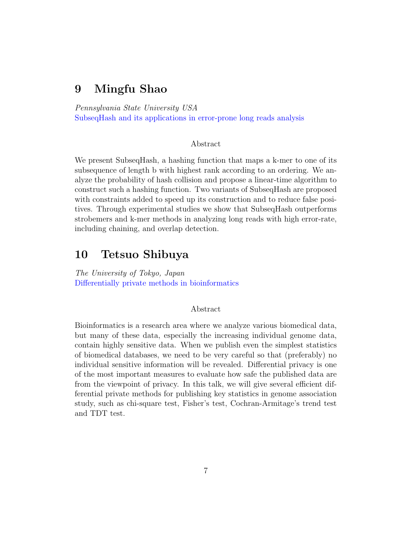# 9 Mingfu Shao

Pennsylvania State University USA SubseqHash and its applications in error-prone long reads analysis

### Abstract

We present Subseq Hash, a hashing function that maps a k-mer to one of its subsequence of length b with highest rank according to an ordering. We analyze the probability of hash collision and propose a linear-time algorithm to construct such a hashing function. Two variants of SubseqHash are proposed with constraints added to speed up its construction and to reduce false positives. Through experimental studies we show that SubseqHash outperforms strobemers and k-mer methods in analyzing long reads with high error-rate, including chaining, and overlap detection.

# 10 Tetsuo Shibuya

The University of Tokyo, Japan Differentially private methods in bioinformatics

### Abstract

Bioinformatics is a research area where we analyze various biomedical data, but many of these data, especially the increasing individual genome data, contain highly sensitive data. When we publish even the simplest statistics of biomedical databases, we need to be very careful so that (preferably) no individual sensitive information will be revealed. Differential privacy is one of the most important measures to evaluate how safe the published data are from the viewpoint of privacy. In this talk, we will give several efficient differential private methods for publishing key statistics in genome association study, such as chi-square test, Fisher's test, Cochran-Armitage's trend test and TDT test.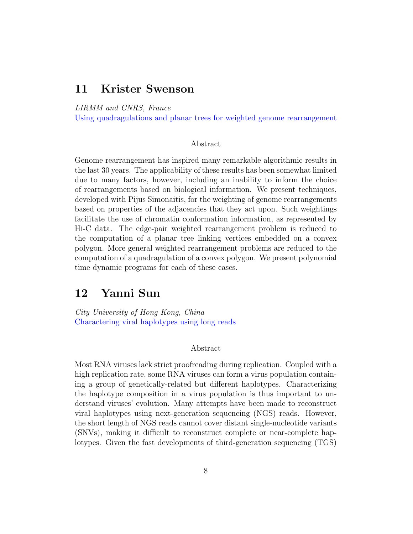### 11 Krister Swenson

LIRMM and CNRS, France

Using quadragulations and planar trees for weighted genome rearrangement

### Abstract

Genome rearrangement has inspired many remarkable algorithmic results in the last 30 years. The applicability of these results has been somewhat limited due to many factors, however, including an inability to inform the choice of rearrangements based on biological information. We present techniques, developed with Pijus Simonaitis, for the weighting of genome rearrangements based on properties of the adjacencies that they act upon. Such weightings facilitate the use of chromatin conformation information, as represented by Hi-C data. The edge-pair weighted rearrangement problem is reduced to the computation of a planar tree linking vertices embedded on a convex polygon. More general weighted rearrangement problems are reduced to the computation of a quadragulation of a convex polygon. We present polynomial time dynamic programs for each of these cases.

### 12 Yanni Sun

City University of Hong Kong, China Charactering viral haplotypes using long reads

### Abstract

Most RNA viruses lack strict proofreading during replication. Coupled with a high replication rate, some RNA viruses can form a virus population containing a group of genetically-related but different haplotypes. Characterizing the haplotype composition in a virus population is thus important to understand viruses' evolution. Many attempts have been made to reconstruct viral haplotypes using next-generation sequencing (NGS) reads. However, the short length of NGS reads cannot cover distant single-nucleotide variants (SNVs), making it difficult to reconstruct complete or near-complete haplotypes. Given the fast developments of third-generation sequencing (TGS)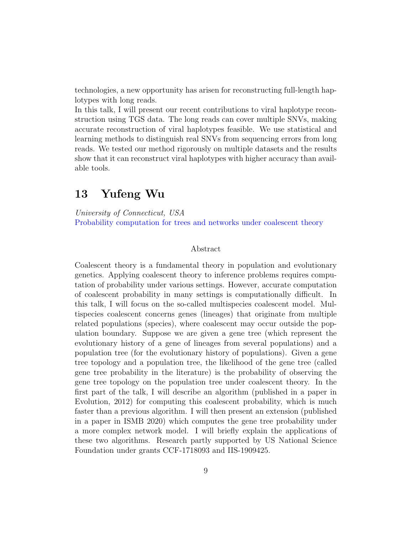technologies, a new opportunity has arisen for reconstructing full-length haplotypes with long reads.

In this talk, I will present our recent contributions to viral haplotype reconstruction using TGS data. The long reads can cover multiple SNVs, making accurate reconstruction of viral haplotypes feasible. We use statistical and learning methods to distinguish real SNVs from sequencing errors from long reads. We tested our method rigorously on multiple datasets and the results show that it can reconstruct viral haplotypes with higher accuracy than available tools.

# 13 Yufeng Wu

University of Connecticut, USA Probability computation for trees and networks under coalescent theory

### Abstract

Coalescent theory is a fundamental theory in population and evolutionary genetics. Applying coalescent theory to inference problems requires computation of probability under various settings. However, accurate computation of coalescent probability in many settings is computationally difficult. In this talk, I will focus on the so-called multispecies coalescent model. Multispecies coalescent concerns genes (lineages) that originate from multiple related populations (species), where coalescent may occur outside the population boundary. Suppose we are given a gene tree (which represent the evolutionary history of a gene of lineages from several populations) and a population tree (for the evolutionary history of populations). Given a gene tree topology and a population tree, the likelihood of the gene tree (called gene tree probability in the literature) is the probability of observing the gene tree topology on the population tree under coalescent theory. In the first part of the talk, I will describe an algorithm (published in a paper in Evolution, 2012) for computing this coalescent probability, which is much faster than a previous algorithm. I will then present an extension (published in a paper in ISMB 2020) which computes the gene tree probability under a more complex network model. I will briefly explain the applications of these two algorithms. Research partly supported by US National Science Foundation under grants CCF-1718093 and IIS-1909425.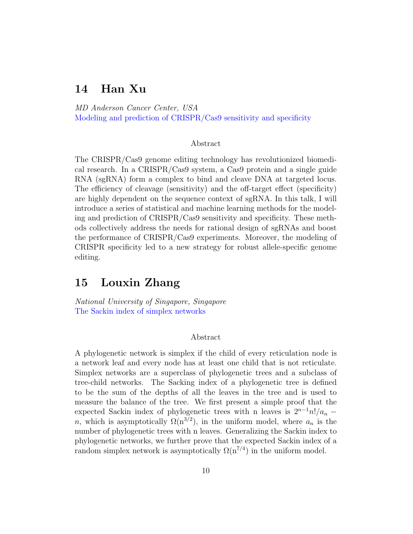# 14 Han Xu

MD Anderson Cancer Center, USA Modeling and prediction of CRISPR/Cas9 sensitivity and specificity

### Abstract

The CRISPR/Cas9 genome editing technology has revolutionized biomedical research. In a CRISPR/Cas9 system, a Cas9 protein and a single guide RNA (sgRNA) form a complex to bind and cleave DNA at targeted locus. The efficiency of cleavage (sensitivity) and the off-target effect (specificity) are highly dependent on the sequence context of sgRNA. In this talk, I will introduce a series of statistical and machine learning methods for the modeling and prediction of CRISPR/Cas9 sensitivity and specificity. These methods collectively address the needs for rational design of sgRNAs and boost the performance of CRISPR/Cas9 experiments. Moreover, the modeling of CRISPR specificity led to a new strategy for robust allele-specific genome editing.

# 15 Louxin Zhang

National University of Singapore, Singapore The Sackin index of simplex networks

#### Abstract

A phylogenetic network is simplex if the child of every reticulation node is a network leaf and every node has at least one child that is not reticulate. Simplex networks are a superclass of phylogenetic trees and a subclass of tree-child networks. The Sacking index of a phylogenetic tree is defined to be the sum of the depths of all the leaves in the tree and is used to measure the balance of the tree. We first present a simple proof that the expected Sackin index of phylogenetic trees with n leaves is  $2^{n-1}n!/a_n$  – n, which is asymptotically  $\Omega(n^{3/2})$ , in the uniform model, where  $a_n$  is the number of phylogenetic trees with n leaves. Generalizing the Sackin index to phylogenetic networks, we further prove that the expected Sackin index of a random simplex network is asymptotically  $\Omega(n^{7/4})$  in the uniform model.